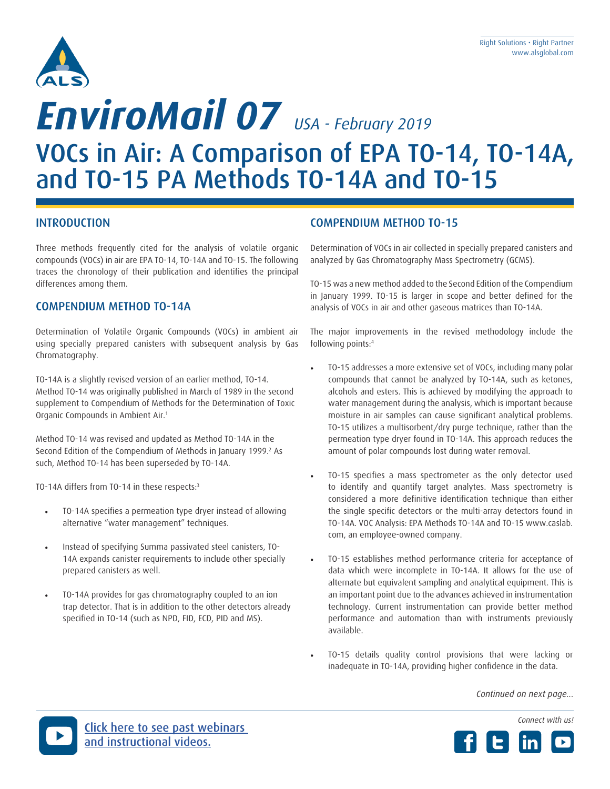

# VOCs in Air: A Comparison of EPA TO-14, TO-14A, and TO-15 PA Methods TO-14A and TO-15 *EnviroMail 07 USA - February 2019*

#### INTRODUCTION

Three methods frequently cited for the analysis of volatile organic compounds (VOCs) in air are EPA TO-14, TO-14A and TO-15. The following traces the chronology of their publication and identifies the principal differences among them.

#### COMPENDIUM METHOD TO-14A

Determination of Volatile Organic Compounds (VOCs) in ambient air using specially prepared canisters with subsequent analysis by Gas Chromatography.

TO-14A is a slightly revised version of an earlier method, TO-14. Method TO-14 was originally published in March of 1989 in the second supplement to Compendium of Methods for the Determination of Toxic Organic Compounds in Ambient Air.1

Method TO-14 was revised and updated as Method TO-14A in the Second Edition of the Compendium of Methods in January 1999.<sup>2</sup> As such, Method TO-14 has been superseded by TO-14A.

TO-14A differs from TO-14 in these respects:3

- TO-14A specifies a permeation type dryer instead of allowing alternative "water management" techniques.
- Instead of specifying Summa passivated steel canisters, TO-14A expands canister requirements to include other specially prepared canisters as well.
- TO-14A provides for gas chromatography coupled to an ion trap detector. That is in addition to the other detectors already specified in TO-14 (such as NPD, FID, ECD, PID and MS).

#### COMPENDIUM METHOD TO-15

Determination of VOCs in air collected in specially prepared canisters and analyzed by Gas Chromatography Mass Spectrometry (GCMS).

TO-15 was a new method added to the Second Edition of the Compendium in January 1999. TO-15 is larger in scope and better defined for the analysis of VOCs in air and other gaseous matrices than TO-14A.

The major improvements in the revised methodology include the following points:4

- TO-15 addresses a more extensive set of VOCs, including many polar compounds that cannot be analyzed by TO-14A, such as ketones, alcohols and esters. This is achieved by modifying the approach to water management during the analysis, which is important because moisture in air samples can cause significant analytical problems. TO-15 utilizes a multisorbent/dry purge technique, rather than the permeation type dryer found in TO-14A. This approach reduces the amount of polar compounds lost during water removal.
- TO-15 specifies a mass spectrometer as the only detector used to identify and quantify target analytes. Mass spectrometry is considered a more definitive identification technique than either the single specific detectors or the multi-array detectors found in TO-14A. VOC Analysis: EPA Methods TO-14A and TO-15 www.caslab. com, an employee-owned company.
- TO-15 establishes method performance criteria for acceptance of data which were incomplete in TO-14A. It allows for the use of alternate but equivalent sampling and analytical equipment. This is an important point due to the advances achieved in instrumentation technology. Current instrumentation can provide better method performance and automation than with instruments previously available.
- TO-15 details quality control provisions that were lacking or inadequate in TO-14A, providing higher confidence in the data.

*Continued on next page...*

*Connect with us!*



[Click here to see past webinars](https://www.youtube.com/user/ALSEnvironmental)  [and instructional videos.](https://www.youtube.com/playlist?list=PLASntBVoVV4Lh0Z2HVt5tWM6ocKNmh0FK)